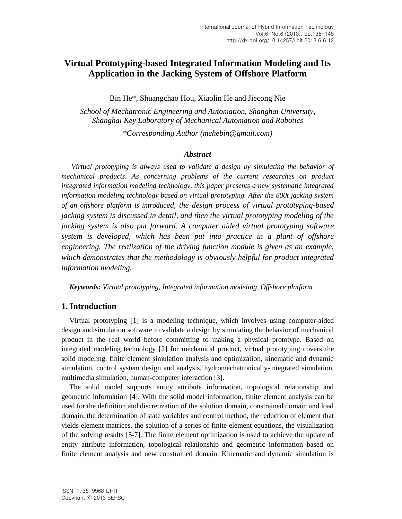# **Virtual Prototyping-based Integrated Information Modeling and Its Application in the Jacking System of Offshore Platform**

Bin He\*, Shuangchao Hou, Xiaolin He and Jiecong Nie

*School of Mechatronic Engineering and Automation, Shanghai University, Shanghai Key Laboratory of Mechanical Automation and Robotics*

*\*Corresponding Author (mehebin@gmail.com)*

#### *Abstract*

*Virtual prototyping is always used to validate a design by simulating the behavior of mechanical products. As concerning problems of the current researches on product integrated information modeling technology, this paper presents a new systematic integrated information modeling technology based on virtual prototyping. After the 800t jacking system of an offshore platform is introduced, the design process of virtual prototyping-based jacking system is discussed in detail, and then the virtual prototyping modeling of the jacking system is also put forward. A computer aided virtual prototyping software system is developed, which has been put into practice in a plant of offshore engineering. The realization of the driving function module is given as an example, which demonstrates that the methodology is obviously helpful for product integrated information modeling.*

*Keywords: Virtual prototyping, Integrated information modeling, Offshore platform*

## **1. Introduction**

Virtual prototyping [1] is a modeling technique, which involves using computer-aided design and simulation software to validate a design by simulating the behavior of mechanical product in the real world before committing to making a physical prototype. Based on integrated modeling technology [2] for mechanical product, virtual prototyping covers the solid modeling, finite element simulation analysis and optimization, kinematic and dynamic simulation, control system design and analysis, hydromechatronically-integrated simulation, multimedia simulation, human-computer interaction [3].

The solid model supports entity attribute information, topological relationship and geometric information [4]. With the solid model information, finite element analysis can be used for the definition and discretization of the solution domain, constrained domain and load domain, the determination of state variables and control method, the reduction of element that yields element matrices, the solution of a series of finite element equations, the visualization of the solving results [5-7]. The finite element optimization is used to achieve the update of entity attribute information, topological relationship and geometric information based on finite element analysis and new constrained domain. Kinematic and dynamic simulation is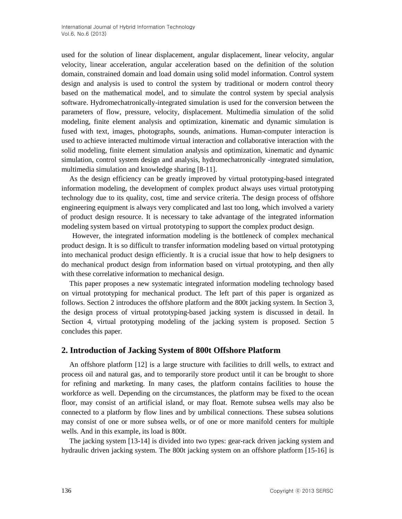used for the solution of linear displacement, angular displacement, linear velocity, angular velocity, linear acceleration, angular acceleration based on the definition of the solution domain, constrained domain and load domain using solid model information. Control system design and analysis is used to control the system by traditional or modern control theory based on the mathematical model, and to simulate the control system by special analysis software. Hydromechatronically-integrated simulation is used for the conversion between the parameters of flow, pressure, velocity, displacement. Multimedia simulation of the solid modeling, finite element analysis and optimization, kinematic and dynamic simulation is fused with text, images, photographs, sounds, animations. Human-computer interaction is used to achieve interacted multimode virtual interaction and collaborative interaction with the solid modeling, finite element simulation analysis and optimization, kinematic and dynamic simulation, control system design and analysis, hydromechatronically -integrated simulation, multimedia simulation and knowledge sharing [8-11].

As the design efficiency can be greatly improved by virtual prototyping-based integrated information modeling, the development of complex product always uses virtual prototyping technology due to its quality, cost, time and service criteria. The design process of offshore engineering equipment is always very complicated and last too long, which involved a variety of product design resource. It is necessary to take advantage of the integrated information modeling system based on virtual prototyping to support the complex product design.

However, the integrated information modeling is the bottleneck of complex mechanical product design. It is so difficult to transfer information modeling based on virtual prototyping into mechanical product design efficiently. It is a crucial issue that how to help designers to do mechanical product design from information based on virtual prototyping, and then ally with these correlative information to mechanical design.

This paper proposes a new systematic integrated information modeling technology based on virtual prototyping for mechanical product. The left part of this paper is organized as follows. Section 2 introduces the offshore platform and the 800t jacking system. In Section 3, the design process of virtual prototyping-based jacking system is discussed in detail. In Section 4, virtual prototyping modeling of the jacking system is proposed. Section 5 concludes this paper.

## **2. Introduction of Jacking System of 800t Offshore Platform**

An offshore platform [12] is a large structure with facilities to drill wells, to extract and process oil and natural gas, and to temporarily store product until it can be brought to shore for refining and marketing. In many cases, the platform contains facilities to house the workforce as well. Depending on the circumstances, the platform may be fixed to the ocean floor, may consist of an artificial island, or may float. Remote subsea wells may also be connected to a platform by flow lines and by umbilical connections. These subsea solutions may consist of one or more subsea wells, or of one or more manifold centers for multiple wells. And in this example, its load is 800t.

The jacking system [13-14] is divided into two types: gear-rack driven jacking system and hydraulic driven jacking system. The 800t jacking system on an offshore platform [15-16] is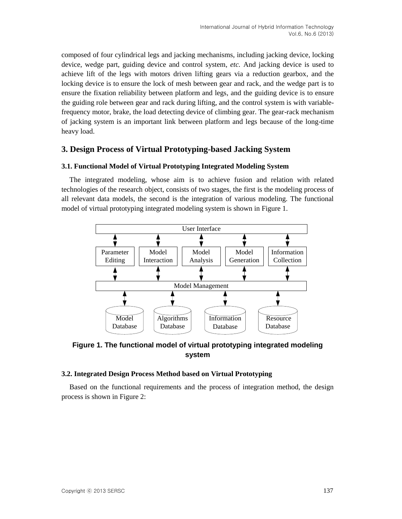composed of four cylindrical legs and jacking mechanisms, including jacking device, locking device, wedge part, guiding device and control system, *etc.* And jacking device is used to achieve lift of the legs with motors driven lifting gears via a reduction gearbox, and the locking device is to ensure the lock of mesh between gear and rack, and the wedge part is to ensure the fixation reliability between platform and legs, and the guiding device is to ensure the guiding role between gear and rack during lifting, and the control system is with variablefrequency motor, brake, the load detecting device of climbing gear. The gear-rack mechanism of jacking system is an important link between platform and legs because of the long-time heavy load.

## **3. Design Process of Virtual Prototyping-based Jacking System**

## **3.1. Functional Model of Virtual Prototyping Integrated Modeling System**

The integrated modeling, whose aim is to achieve fusion and relation with related technologies of the research object, consists of two stages, the first is the modeling process of all relevant data models, the second is the integration of various modeling. The functional model of virtual prototyping integrated modeling system is shown in Figure 1.



**Figure 1. The functional model of virtual prototyping integrated modeling system**

### **3.2. Integrated Design Process Method based on Virtual Prototyping**

Based on the functional requirements and the process of integration method, the design process is shown in Figure 2: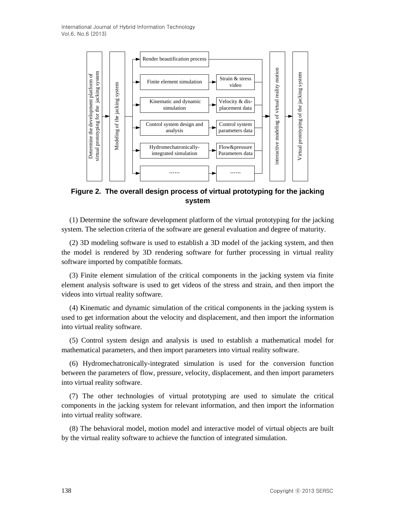

**Figure 2. The overall design process of virtual prototyping for the jacking system**

(1) Determine the software development platform of the virtual prototyping for the jacking system. The selection criteria of the software are general evaluation and degree of maturity.

(2) 3D modeling software is used to establish a 3D model of the jacking system, and then the model is rendered by 3D rendering software for further processing in virtual reality software imported by compatible formats.

(3) Finite element simulation of the critical components in the jacking system via finite element analysis software is used to get videos of the stress and strain, and then import the videos into virtual reality software.

(4) Kinematic and dynamic simulation of the critical components in the jacking system is used to get information about the velocity and displacement, and then import the information into virtual reality software.

(5) Control system design and analysis is used to establish a mathematical model for mathematical parameters, and then import parameters into virtual reality software.

(6) Hydromechatronically-integrated simulation is used for the conversion function between the parameters of flow, pressure, velocity, displacement, and then import parameters into virtual reality software.

(7) The other technologies of virtual prototyping are used to simulate the critical components in the jacking system for relevant information, and then import the information into virtual reality software.

(8) The behavioral model, motion model and interactive model of virtual objects are built by the virtual reality software to achieve the function of integrated simulation.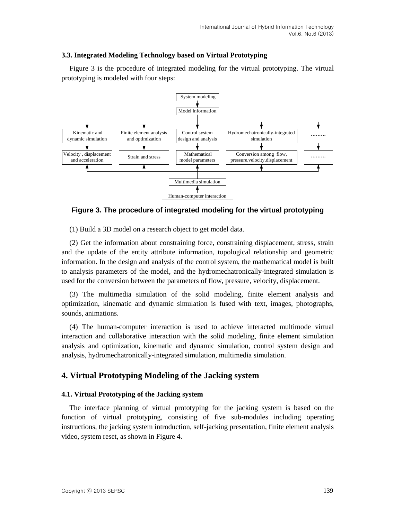#### **3.3. Integrated Modeling Technology based on Virtual Prototyping**

Figure 3 is the procedure of integrated modeling for the virtual prototyping. The virtual prototyping is modeled with four steps:



### **Figure 3. The procedure of integrated modeling for the virtual prototyping**

(1) Build a 3D model on a research object to get model data.

(2) Get the information about constraining force, constraining displacement, stress, strain and the update of the entity attribute information, topological relationship and geometric information. In the design and analysis of the control system, the mathematical model is built to analysis parameters of the model, and the hydromechatronically-integrated simulation is used for the conversion between the parameters of flow, pressure, velocity, displacement.

(3) The multimedia simulation of the solid modeling, finite element analysis and optimization, kinematic and dynamic simulation is fused with text, images, photographs, sounds, animations.

(4) The human-computer interaction is used to achieve interacted multimode virtual interaction and collaborative interaction with the solid modeling, finite element simulation analysis and optimization, kinematic and dynamic simulation, control system design and analysis, hydromechatronically-integrated simulation, multimedia simulation.

## **4. Virtual Prototyping Modeling of the Jacking system**

#### **4.1. Virtual Prototyping of the Jacking system**

The interface planning of virtual prototyping for the jacking system is based on the function of virtual prototyping, consisting of five sub-modules including operating instructions, the jacking system introduction, self-jacking presentation, finite element analysis video, system reset, as shown in Figure 4.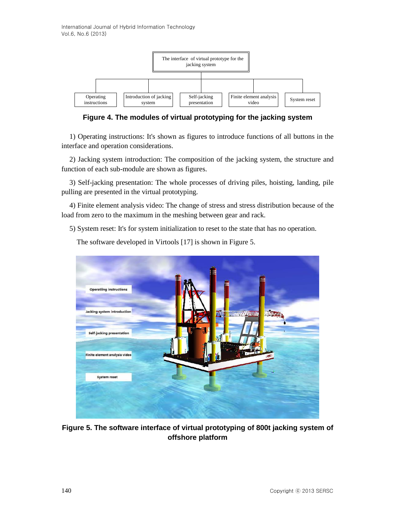International Journal of Hybrid Information Technology Vol.6, No.6 (2013)



**Figure 4. The modules of virtual prototyping for the jacking system**

1) Operating instructions: It's shown as figures to introduce functions of all buttons in the interface and operation considerations.

2) Jacking system introduction: The composition of the jacking system, the structure and function of each sub-module are shown as figures.

3) Self-jacking presentation: The whole processes of driving piles, hoisting, landing, pile pulling are presented in the virtual prototyping.

4) Finite element analysis video: The change of stress and stress distribution because of the load from zero to the maximum in the meshing between gear and rack.

5) System reset: It's for system initialization to reset to the state that has no operation.



The software developed in Virtools [17] is shown in Figure 5.

**Figure 5. The software interface of virtual prototyping of 800t jacking system of offshore platform**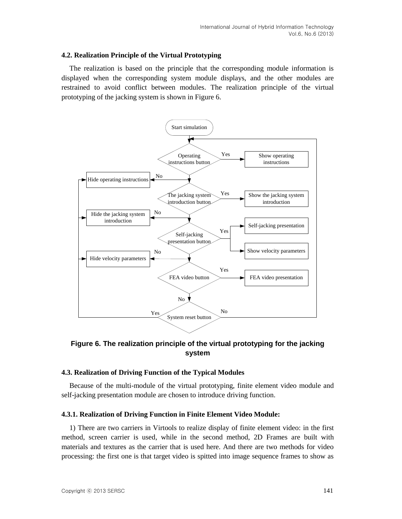#### **4.2. Realization Principle of the Virtual Prototyping**

The realization is based on the principle that the corresponding module information is displayed when the corresponding system module displays, and the other modules are restrained to avoid conflict between modules. The realization principle of the virtual prototyping of the jacking system is shown in Figure 6.



**Figure 6. The realization principle of the virtual prototyping for the jacking system**

#### **4.3. Realization of Driving Function of the Typical Modules**

Because of the multi-module of the virtual prototyping, finite element video module and self-jacking presentation module are chosen to introduce driving function.

#### **4.3.1. Realization of Driving Function in Finite Element Video Module:**

1) There are two carriers in Virtools to realize display of finite element video: in the first method, screen carrier is used, while in the second method, 2D Frames are built with materials and textures as the carrier that is used here. And there are two methods for video processing: the first one is that target video is spitted into image sequence frames to show as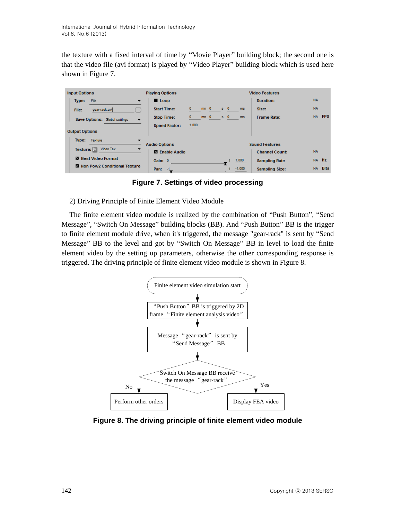the texture with a fixed interval of time by "Movie Player" building block; the second one is that the video file (avi format) is played by "Video Player" building block which is used here shown in Figure 7.

| <b>Input Options</b>                                      | <b>Playing Options</b> | <b>Video Features</b>                                             |           |
|-----------------------------------------------------------|------------------------|-------------------------------------------------------------------|-----------|
| Type:<br>File<br>$\overline{\phantom{a}}$                 | $\blacksquare$ Loop    | Duration:                                                         | <b>NA</b> |
| gear-rack.avi<br>File:<br>$\ddotsc$                       | <b>Start Time:</b>     | $\circ$<br>$mn = 0$<br>$s = 0$<br>ms<br>Size:                     | <b>NA</b> |
| Save Options: Global settings<br>$\overline{\phantom{a}}$ | <b>Stop Time:</b>      | $s = 0$<br>mm <sub>0</sub><br>$\circ$<br>ms<br><b>Frame Rate:</b> | NA FPS    |
|                                                           | <b>Speed Factor:</b>   | 1.000                                                             |           |
| <b>Output Options</b>                                     |                        |                                                                   |           |
| Type:<br>Texture<br>▼                                     | <b>Audio Options</b>   | <b>Sound Features</b>                                             |           |
| Video Tex<br>Texture: $\mathbb{H}$                        | 图 Enable Audio         | <b>Channel Count:</b>                                             | <b>NA</b> |
| <b>Best Video Format</b>                                  |                        | 1.000                                                             | NA Hz     |
| <b>M</b> Non Pow2 Conditional Texture                     | Gain: 0                | <b>Sampling Rate</b>                                              |           |
|                                                           | Pan:<br>-1             | $-1.000$<br><b>Sampling Size:</b>                                 | NA Bits   |

**Figure 7. Settings of video processing**

## 2) Driving Principle of Finite Element Video Module

The finite element video module is realized by the combination of "Push Button", "Send Message", "Switch On Message" building blocks (BB). And "Push Button" BB is the trigger to finite element module drive, when it's triggered, the message "gear-rack" is sent by "Send Message" BB to the level and got by "Switch On Message" BB in level to load the finite element video by the setting up parameters, otherwise the other corresponding response is triggered. The driving principle of finite element video module is shown in Figure 8.



**Figure 8. The driving principle of finite element video module**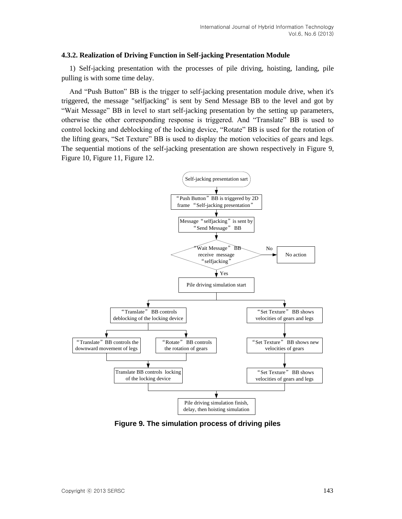#### **4.3.2. Realization of Driving Function in Self-jacking Presentation Module**

1) Self-jacking presentation with the processes of pile driving, hoisting, landing, pile pulling is with some time delay.

And "Push Button" BB is the trigger to self-jacking presentation module drive, when it's triggered, the message "selfjacking" is sent by Send Message BB to the level and got by "Wait Message" BB in level to start self-jacking presentation by the setting up parameters, otherwise the other corresponding response is triggered. And "Translate" BB is used to control locking and deblocking of the locking device, "Rotate" BB is used for the rotation of the lifting gears, "Set Texture" BB is used to display the motion velocities of gears and legs. The sequential motions of the self-jacking presentation are shown respectively in Figure 9, Figure 10, Figure 11, Figure 12.



**Figure 9. The simulation process of driving piles**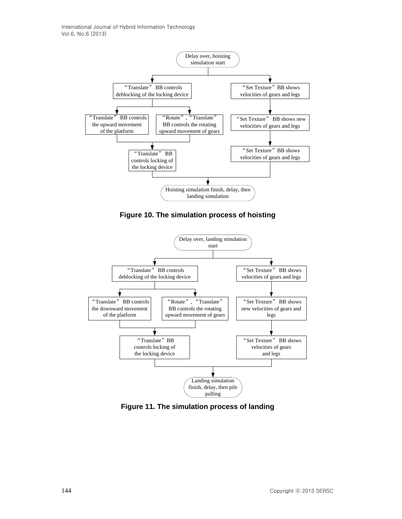

**Figure 10. The simulation process of hoisting**



**Figure 11. The simulation process of landing**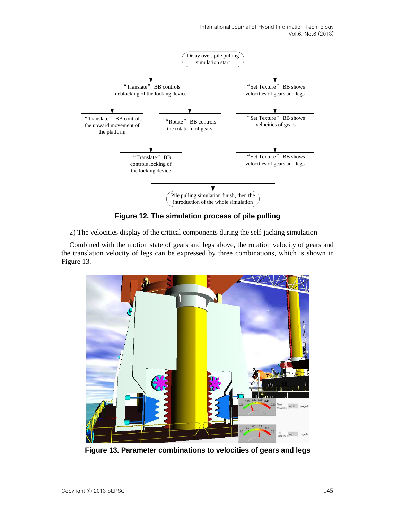International Journal of Hybrid Information Technology Vol.6, No.6 (2013)



**Figure 12. The simulation process of pile pulling**

2) The velocities display of the critical components during the self-jacking simulation

Combined with the motion state of gears and legs above, the rotation velocity of gears and the translation velocity of legs can be expressed by three combinations, which is shown in Figure 13.

![](_page_10_Picture_5.jpeg)

**Figure 13. Parameter combinations to velocities of gears and legs**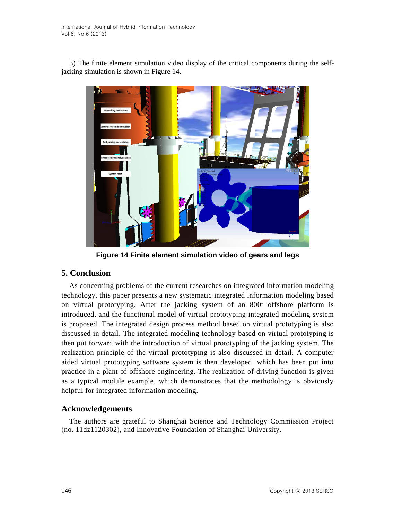3) The finite element simulation video display of the critical components during the selfjacking simulation is shown in Figure 14.

![](_page_11_Picture_2.jpeg)

**Figure 14 Finite element simulation video of gears and legs**

## **5. Conclusion**

As concerning problems of the current researches on integrated information modeling technology, this paper presents a new systematic integrated information modeling based on virtual prototyping. After the jacking system of an 800t offshore platform is introduced, and the functional model of virtual prototyping integrated modeling system is proposed. The integrated design process method based on virtual prototyping is also discussed in detail. The integrated modeling technology based on virtual prototyping is then put forward with the introduction of virtual prototyping of the jacking system. The realization principle of the virtual prototyping is also discussed in detail. A computer aided virtual prototyping software system is then developed, which has been put into practice in a plant of offshore engineering. The realization of driving function is given as a typical module example, which demonstrates that the methodology is obviously helpful for integrated information modeling.

# **Acknowledgements**

The authors are grateful to Shanghai Science and Technology Commission Project (no. 11dz1120302), and Innovative Foundation of Shanghai University.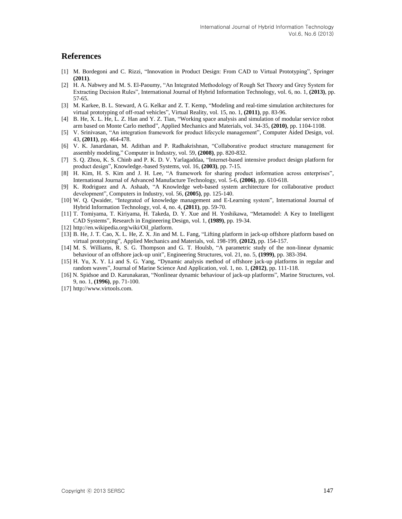### **References**

- [1] M. Bordegoni and C. Rizzi, "Innovation in Product Design: From CAD to Virtual Prototyping", Springer **(2011)**.
- [2] H. A. Nabwey and M. S. El-Paoumy, "An Integrated Methodology of Rough Set Theory and Grey System for Extracting Decision Rules", International Journal of Hybrid Information Technology, vol. 6, no. 1, **(2013)**, pp. 57-65.
- [3] M. Karkee, B. L. Steward, A G. Kelkar and Z. T. Kemp, "Modeling and real-time simulation architectures for virtual prototyping of off-road vehicles", Virtual Reality, vol. 15, no. 1, **(2011)**, pp. 83-96.
- [4] B. He, X. L. He, L. Z. Han and Y. Z. Tian, "Working space analysis and simulation of modular service robot arm based on Monte Carlo method", Applied Mechanics and Materials, vol. 34-35, **(2010)**, pp. 1104-1108.
- [5] V. Srinivasan, "An integration framework for product lifecycle management", Computer Aided Design, vol. 43, **(2011)**, pp. 464-478.
- [6] V. K. Janardanan, M. Adithan and P. Radhakrishnan, "Collaborative product structure management for assembly modeling," Computer in Industry, vol. 59, **(2008)**, pp. 820-832.
- [7] S. Q. Zhou, K. S. Chinb and P. K. D. V. Yarlagaddaa, "Internet-based intensive product design platform for product design", Knowledge.-based Systems, vol. 16, **(2003)**, pp. 7-15.
- [8] H. Kim, H. S. Kim and J. H. Lee, "A framework for sharing product information across enterprises", International Journal of Advanced Manufacture Technology, vol. 5-6, **(2006)**, pp. 610-618.
- [9] K. Rodriguez and A. Ashaab, "A Knowledge web-based system architecture for collaborative product development", Computers in Industry, vol. 56, **(2005)**, pp. 125-140.
- [10] W. Q. Qwaider, "Integrated of knowledge management and E-Learning system", International Journal of Hybrid Information Technology, vol. 4, no. 4, **(2011)**, pp. 59-70.
- [11] T. Tomiyama, T. Kiriyama, H. Takeda, D. Y. Xue and H. Yoshikawa, "Metamodel: A Key to Intelligent CAD Systems", Research in Engineering Design, vol. 1, **(1989)**, pp. 19-34.
- [12] http://en.wikipedia.org/wiki/Oil\_platform.
- [13] B. He, J. T. Cao, X. L. He, Z. X. Jin and M. L. Fang, "Lifting platform in jack-up offshore platform based on virtual prototyping", Applied Mechanics and Materials, vol. 198-199, **(2012)**, pp. 154-157.
- [14] M. S. Williams, R. S. G. Thompson and G. T. Houlsb, "A parametric study of the non-linear dynamic behaviour of an offshore jack-up unit", Engineering Structures, vol. 21, no. 5, **(1999)**, pp. 383-394.
- [15] H. Yu, X. Y. Li and S. G. Yang, "Dynamic analysis method of offshore jack-up platforms in regular and random waves", Journal of Marine Science And Application, vol. 1, no. 1, **(2012)**, pp. 111-118.
- [16] N. Spidsoe and D. Karunakaran, "Nonlinear dynamic behaviour of jack-up platforms", Marine Structures, vol. 9, no. 1, **(1996)**, pp. 71-100.
- [17] http://www.virtools.com.